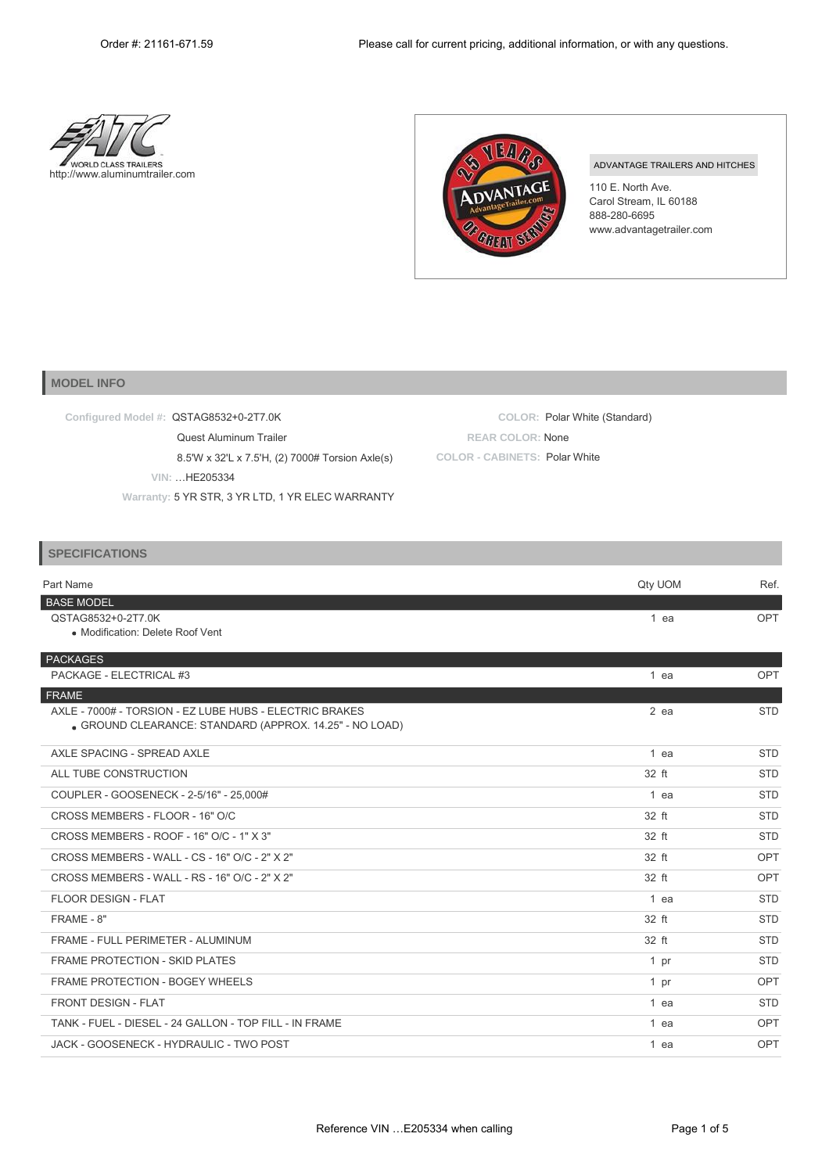



## ADVANTAGE TRAILERS AND HITCHES

110 E. North Ave. Carol Stream, IL 60188 888-280-6695 [www.advantagetrailer.com](http://www.advantagetrailer.com/)

## **MODEL INFO**

| Configured Model #: QSTAG8532+0-2T7.0K           | COLOR: Polar White (Standard) |
|--------------------------------------------------|-------------------------------|
| Quest Aluminum Trailer                           | <b>REAR COLOR: None</b>       |
| 8.5'W x 32'L x 7.5'H, (2) 7000# Torsion Axle(s)  | COLOR - CABINETS: Polar White |
| VIN: HE205334                                    |                               |
| Warranty: 5 YR STR, 3 YR LTD, 1 YR ELEC WARRANTY |                               |

## **SPECIFICATIONS**

| Part Name                                                                                                        | Qty UOM         | Ref.       |
|------------------------------------------------------------------------------------------------------------------|-----------------|------------|
| <b>BASE MODEL</b><br>QSTAG8532+0-2T7.0K                                                                          | $1$ ea          | OPT        |
| • Modification: Delete Roof Vent                                                                                 |                 |            |
| PACKAGES                                                                                                         |                 |            |
| PACKAGE - ELECTRICAL #3                                                                                          | $1$ ea          | OPT        |
| FRAME                                                                                                            |                 |            |
| AXLE - 7000# - TORSION - EZ LUBE HUBS - ELECTRIC BRAKES<br>GROUND CLEARANCE: STANDARD (APPROX. 14.25" - NO LOAD) | $2$ ea          | <b>STD</b> |
| AXLE SPACING - SPREAD AXLE                                                                                       | $1$ ea          | <b>STD</b> |
| ALL TUBE CONSTRUCTION                                                                                            | 32 ft           | <b>STD</b> |
| COUPLER - GOOSENECK - 2-5/16" - 25,000#                                                                          | $1$ ea          | <b>STD</b> |
| CROSS MEMBERS - FLOOR - 16" O/C                                                                                  | 32 ft           | <b>STD</b> |
| CROSS MEMBERS - ROOF - 16" O/C - 1" X 3"                                                                         | 32 ft           | <b>STD</b> |
| CROSS MEMBERS - WALL - CS - 16" O/C - 2" X 2"                                                                    | 32 ft           | OPT        |
| CROSS MEMBERS - WALL - RS - 16" O/C - 2" X 2"                                                                    | 32 ft           | OPT        |
| <b>FLOOR DESIGN - FLAT</b>                                                                                       | $1$ ea          | <b>STD</b> |
| FRAME - 8"                                                                                                       | 32 ft           | <b>STD</b> |
| FRAME - FULL PERIMETER - ALUMINUM                                                                                | 32 ft           | <b>STD</b> |
| FRAME PROTECTION - SKID PLATES                                                                                   | 1 <sub>pr</sub> | <b>STD</b> |
| FRAME PROTECTION - BOGEY WHEELS                                                                                  | 1 <sub>pr</sub> | OPT        |
| <b>FRONT DESIGN - FLAT</b>                                                                                       | 1 ea            | <b>STD</b> |
| TANK - FUEL - DIESEL - 24 GALLON - TOP FILL - IN FRAME                                                           | $1$ ea          | OPT        |
| JACK - GOOSENECK - HYDRAULIC - TWO POST                                                                          | $1$ ea          | OPT        |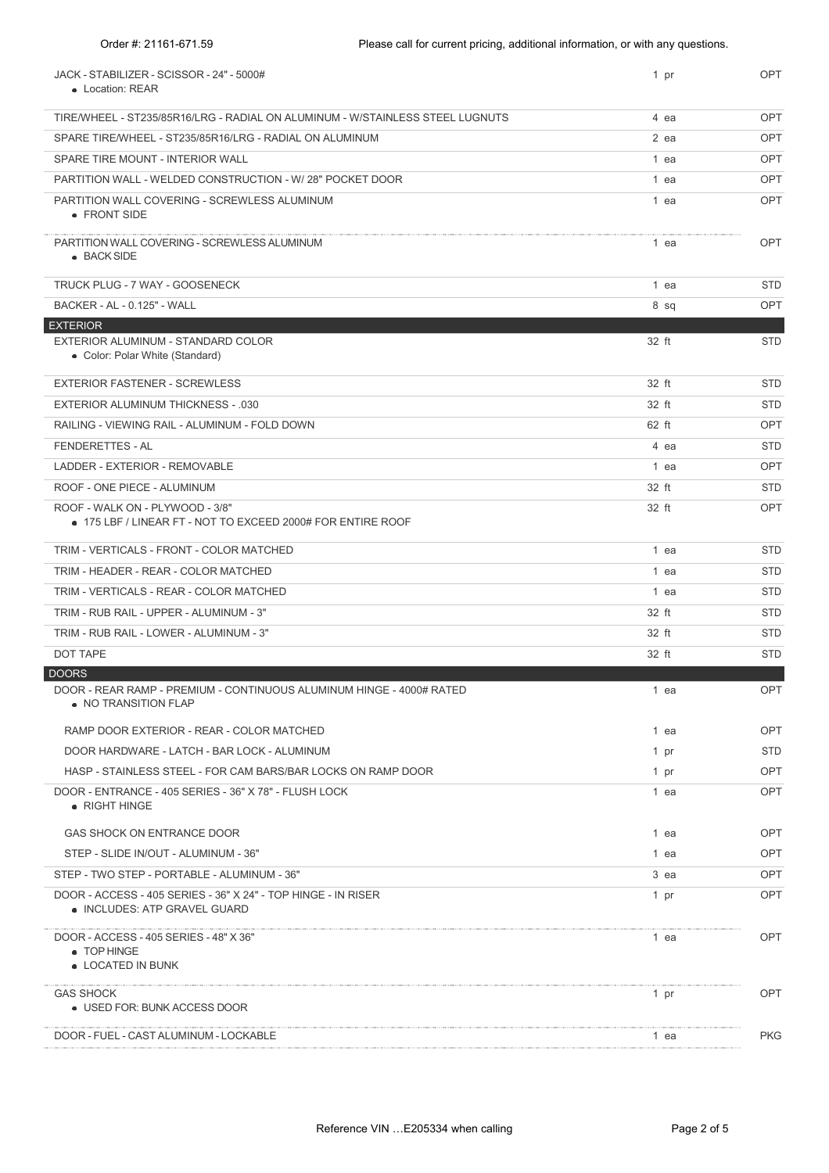| JACK - STABILIZER - SCISSOR - 24" - 5000#<br>• Location: REAR                                  | 1 pr   | <b>OPT</b> |
|------------------------------------------------------------------------------------------------|--------|------------|
| TIRE/WHEEL - ST235/85R16/LRG - RADIAL ON ALUMINUM - W/STAINLESS STEEL LUGNUTS                  | 4 ea   | <b>OPT</b> |
| SPARE TIRE/WHEEL - ST235/85R16/LRG - RADIAL ON ALUMINUM                                        | $2$ ea | <b>OPT</b> |
| SPARE TIRE MOUNT - INTERIOR WALL                                                               | 1 ea   | <b>OPT</b> |
| PARTITION WALL - WELDED CONSTRUCTION - W/ 28" POCKET DOOR                                      | 1 ea   | <b>OPT</b> |
| PARTITION WALL COVERING - SCREWLESS ALUMINUM<br>• FRONT SIDE                                   | 1 ea   | <b>OPT</b> |
| PARTITION WALL COVERING - SCREWLESS ALUMINUM<br>• BACK SIDE                                    | 1 ea   | OPT        |
| TRUCK PLUG - 7 WAY - GOOSENECK                                                                 | 1 ea   | <b>STD</b> |
| BACKER - AL - 0.125" - WALL                                                                    | 8 sq   | <b>OPT</b> |
| <b>EXTERIOR</b>                                                                                |        |            |
| EXTERIOR ALUMINUM - STANDARD COLOR<br>• Color: Polar White (Standard)                          | 32 ft  | <b>STD</b> |
| <b>EXTERIOR FASTENER - SCREWLESS</b>                                                           | 32 ft  | <b>STD</b> |
| <b>EXTERIOR ALUMINUM THICKNESS - .030</b>                                                      | 32 ft  | <b>STD</b> |
| RAILING - VIEWING RAIL - ALUMINUM - FOLD DOWN                                                  | 62 ft  | <b>OPT</b> |
| <b>FENDERETTES - AL</b>                                                                        | 4 ea   | <b>STD</b> |
| LADDER - EXTERIOR - REMOVABLE                                                                  | 1 ea   | <b>OPT</b> |
| ROOF - ONE PIECE - ALUMINUM                                                                    | 32 ft  | <b>STD</b> |
| ROOF - WALK ON - PLYWOOD - 3/8"<br>● 175 LBF / LINEAR FT - NOT TO EXCEED 2000# FOR ENTIRE ROOF | 32 ft  | OPT        |
| TRIM - VERTICALS - FRONT - COLOR MATCHED                                                       | 1 ea   | <b>STD</b> |
| TRIM - HEADER - REAR - COLOR MATCHED                                                           | 1 ea   | <b>STD</b> |
| TRIM - VERTICALS - REAR - COLOR MATCHED                                                        | 1 ea   | <b>STD</b> |
| TRIM - RUB RAIL - UPPER - ALUMINUM - 3"                                                        | 32 ft  | <b>STD</b> |
| TRIM - RUB RAIL - LOWER - ALUMINUM - 3"                                                        | 32 ft  | <b>STD</b> |
| <b>DOT TAPE</b>                                                                                | 32 ft  | <b>STD</b> |
| <b>DOORS</b>                                                                                   |        |            |
| DOOR - REAR RAMP - PREMIUM - CONTINUOUS ALUMINUM HINGE - 4000# RATED<br>• NO TRANSITION FLAP   | 1 ea   | OPT        |
| RAMP DOOR EXTERIOR - REAR - COLOR MATCHED                                                      | 1 ea   | OPT        |
| DOOR HARDWARE - LATCH - BAR LOCK - ALUMINUM                                                    | 1 pr   | <b>STD</b> |
| HASP - STAINLESS STEEL - FOR CAM BARS/BAR LOCKS ON RAMP DOOR                                   | 1 pr   | OPT        |
| DOOR - ENTRANCE - 405 SERIES - 36" X 78" - FLUSH LOCK<br>• RIGHT HINGE                         | 1 ea   | OPT        |
| GAS SHOCK ON ENTRANCE DOOR                                                                     | 1 ea   | OPT        |
| STEP - SLIDE IN/OUT - ALUMINUM - 36"                                                           | 1 ea   | <b>OPT</b> |
| STEP - TWO STEP - PORTABLE - ALUMINUM - 36"                                                    | 3 ea   | OPT        |
| DOOR - ACCESS - 405 SERIES - 36" X 24" - TOP HINGE - IN RISER<br>• INCLUDES: ATP GRAVEL GUARD  | 1 pr   | <b>OPT</b> |
| DOOR - ACCESS - 405 SERIES - 48" X 36"<br>• TOP HINGE<br>• LOCATED IN BUNK                     | 1 ea   | OPT        |
| <b>GAS SHOCK</b><br>• USED FOR: BUNK ACCESS DOOR                                               | 1 pr   | OPT        |
| DOOR - FUEL - CAST ALUMINUM - LOCKABLE                                                         | 1 ea   | <b>PKG</b> |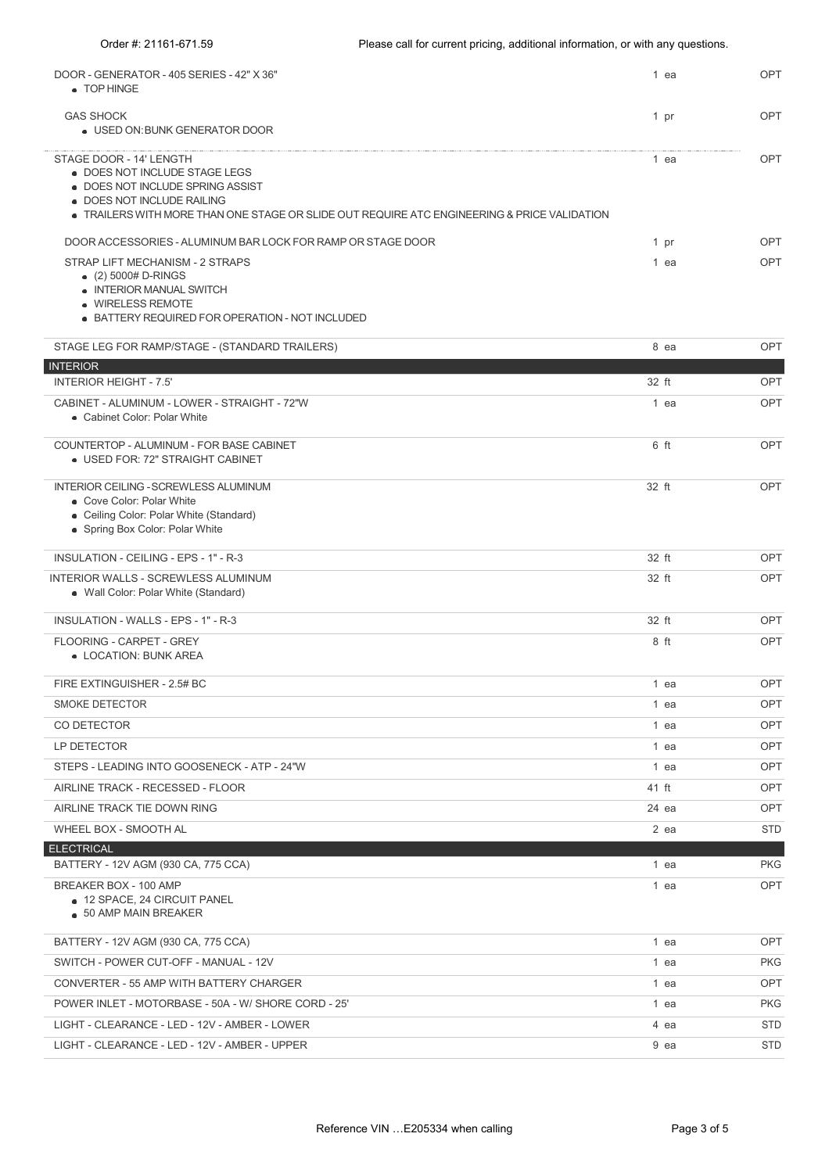| DOOR - GENERATOR - 405 SERIES - 42" X 36"<br>• TOP HINGE                                                                                                                                                                  | 1 ea   | OPT        |
|---------------------------------------------------------------------------------------------------------------------------------------------------------------------------------------------------------------------------|--------|------------|
| <b>GAS SHOCK</b><br>. USED ON: BUNK GENERATOR DOOR                                                                                                                                                                        | 1 pr   | <b>OPT</b> |
| STAGE DOOR - 14' LENGTH<br>. DOES NOT INCLUDE STAGE LEGS<br>. DOES NOT INCLUDE SPRING ASSIST<br>• DOES NOT INCLUDE RAILING<br>• TRAILERS WITH MORE THAN ONE STAGE OR SLIDE OUT REQUIRE ATC ENGINEERING & PRICE VALIDATION | $1$ ea | OPT        |
| DOOR ACCESSORIES - ALUMINUM BAR LOCK FOR RAMP OR STAGE DOOR                                                                                                                                                               | $1$ pr | OPT        |
| STRAP LIFT MECHANISM - 2 STRAPS<br>$(2)$ 5000# D-RINGS<br>• INTERIOR MANUAL SWITCH<br>· WIRELESS REMOTE<br>• BATTERY REQUIRED FOR OPERATION - NOT INCLUDED                                                                | 1 ea   | OPT        |
| STAGE LEG FOR RAMP/STAGE - (STANDARD TRAILERS)                                                                                                                                                                            | 8 ea   | OPT        |
| <b>INTERIOR</b>                                                                                                                                                                                                           |        |            |
| <b>INTERIOR HEIGHT - 7.5'</b>                                                                                                                                                                                             | 32 ft  | OPT        |
| CABINET - ALUMINUM - LOWER - STRAIGHT - 72"W<br>• Cabinet Color: Polar White                                                                                                                                              | 1 ea   | OPT        |
| COUNTERTOP - ALUMINUM - FOR BASE CABINET<br>. USED FOR: 72" STRAIGHT CABINET                                                                                                                                              | 6 ft   | OPT        |
| INTERIOR CEILING - SCREWLESS ALUMINUM<br>• Cove Color: Polar White<br>• Ceiling Color: Polar White (Standard)<br>• Spring Box Color: Polar White                                                                          | 32 ft  | OPT        |
| INSULATION - CEILING - EPS - 1" - R-3                                                                                                                                                                                     | 32 ft  | OPT        |
| INTERIOR WALLS - SCREWLESS ALUMINUM<br>• Wall Color: Polar White (Standard)                                                                                                                                               | 32 ft  | OPT        |

INSULATION - WALLS - EPS - 1" - R-3 32 ft OPT FLOORING - CARPET - GREY LOCATION: BUNK AREA 8 ft OPT FIRE EXTINGUISHER - 2.5# BC 1 ea OPT SMOKE DETECTOR AND THE STATE OF THE STATE OF THE STATE OF THE STATE OF THE STATE OF THE STATE OF THE STATE OF THE STATE OF THE STATE OF THE STATE OF THE STATE OF THE STATE OF THE STATE OF THE STATE OF THE STATE OF THE STAT CO DETECTOR 1 ea OPT LP DETECTOR 1 ea OPT STEPS - LEADING INTO GOOSENECK - ATP - 24"W 1 ea CPT CONSERVER CHARGE AT A CPT CONSERVER CHARGE AT A CPT CONSERVER CHARGE AT A CPT CONSERVER CHARGE AT A CHARGE AT A CHARGE AT A CHARGE AT A CHARGE AT A CHARGE AT A CHARGE AT AIRLINE TRACK - RECESSED - FLOOR **ALL AIRLINE TRACK - RECESSED - FLOOR** 41 ft **OPT** AIRLINE TRACK TIE DOWN RING NOTE AND A SERVER THE OPT AND ALL THE SERVER THE OPT AND ALL THE OPT AND A SERVER THE OPT

| WHEEL BOX - SMOOTH AL                                                                  | 2 ea | <b>STD</b> |
|----------------------------------------------------------------------------------------|------|------------|
| <b>ELECTRICAL</b>                                                                      |      |            |
| BATTERY - 12V AGM (930 CA, 775 CCA)                                                    | 1 ea | <b>PKG</b> |
| BREAKER BOX - 100 AMP<br>• 12 SPACE, 24 CIRCUIT PANEL<br>$\bullet$ 50 AMP MAIN BREAKER | l ea | OPT        |

| BATTERY - 12V AGM (930 CA, 775 CCA)                 | ea   | OPT        |
|-----------------------------------------------------|------|------------|
| SWITCH - POWER CUT-OFF - MANUAL - 12V               | ea   | <b>PKG</b> |
| CONVERTER - 55 AMP WITH BATTERY CHARGER             | ea   | OPT        |
| POWER INLET - MOTORBASE - 50A - W/ SHORE CORD - 25' | 1 ea | PKG.       |
| LIGHT - CLEARANCE - LED - 12V - AMBER - LOWER       | 4 ea | STD.       |
| LIGHT - CLEARANCE - LED - 12V - AMBER - UPPER       | 9 ea | STD.       |
|                                                     |      |            |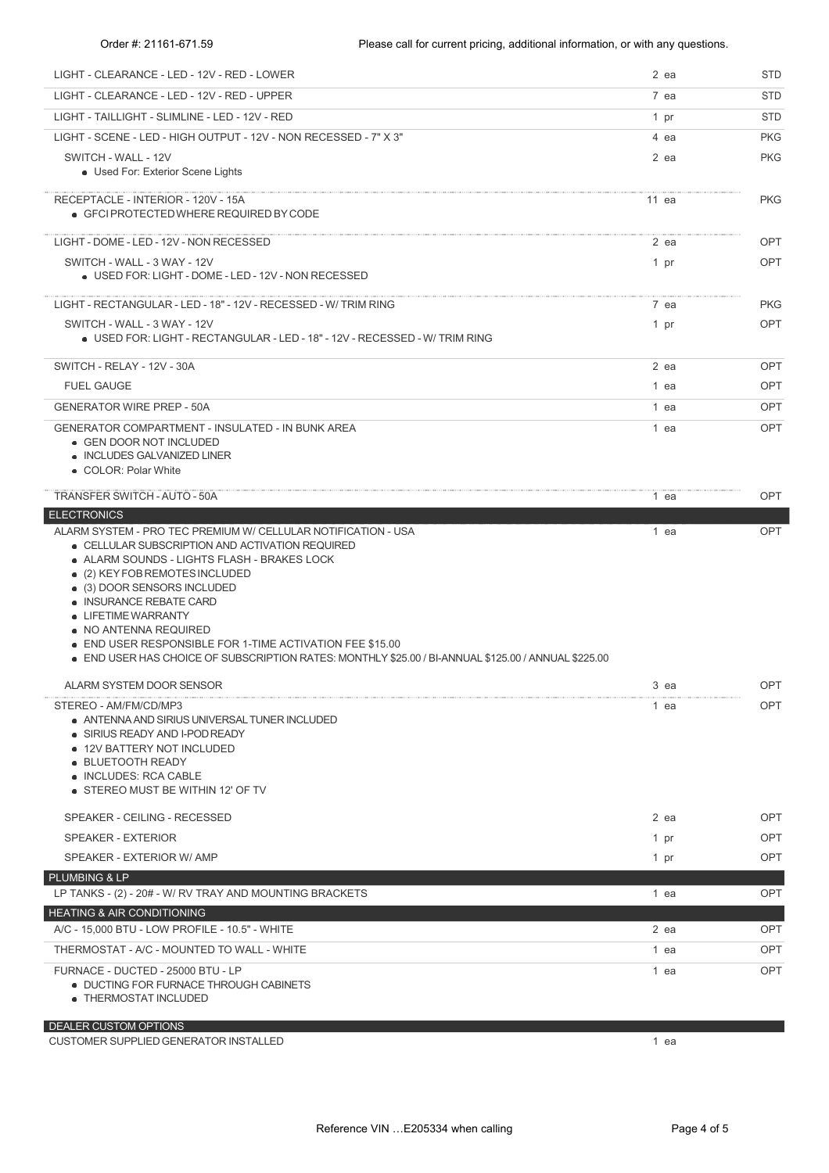| LIGHT - CLEARANCE - LED - 12V - RED - LOWER                                                                                                                                                                                                                                                                                                                | $2$ ea  | <b>STD</b> |
|------------------------------------------------------------------------------------------------------------------------------------------------------------------------------------------------------------------------------------------------------------------------------------------------------------------------------------------------------------|---------|------------|
| LIGHT - CLEARANCE - LED - 12V - RED - UPPER                                                                                                                                                                                                                                                                                                                | 7 ea    | STD        |
| LIGHT - TAILLIGHT - SLIMLINE - LED - 12V - RED                                                                                                                                                                                                                                                                                                             | 1 pr    | <b>STD</b> |
| LIGHT - SCENE - LED - HIGH OUTPUT - 12V - NON RECESSED - 7" X 3"                                                                                                                                                                                                                                                                                           | 4 ea    | <b>PKG</b> |
| SWITCH - WALL - 12V<br>• Used For: Exterior Scene Lights                                                                                                                                                                                                                                                                                                   | 2 ea    | <b>PKG</b> |
| RECEPTACLE - INTERIOR - 120V - 15A<br>• GFCI PROTECTED WHERE REQUIRED BY CODE                                                                                                                                                                                                                                                                              | $11$ ea | <b>PKG</b> |
| LIGHT - DOME - LED - 12V - NON RECESSED                                                                                                                                                                                                                                                                                                                    | 2 ea    | <b>OPT</b> |
| SWITCH - WALL - 3 WAY - 12V<br>• USED FOR: LIGHT - DOME - LED - 12V - NON RECESSED                                                                                                                                                                                                                                                                         | 1 pr    | <b>OPT</b> |
| LIGHT - RECTANGULAR - LED - 18" - 12V - RECESSED - W/ TRIM RING                                                                                                                                                                                                                                                                                            | 7 ea    | <b>PKG</b> |
| SWITCH - WALL - 3 WAY - 12V<br>. USED FOR: LIGHT - RECTANGULAR - LED - 18" - 12V - RECESSED - W/ TRIM RING                                                                                                                                                                                                                                                 | 1 pr    | <b>OPT</b> |
| SWITCH - RELAY - 12V - 30A                                                                                                                                                                                                                                                                                                                                 | $2$ ea  | <b>OPT</b> |
| <b>FUEL GAUGE</b>                                                                                                                                                                                                                                                                                                                                          | 1 ea    | OPT        |
| <b>GENERATOR WIRE PREP - 50A</b>                                                                                                                                                                                                                                                                                                                           | 1 ea    | <b>OPT</b> |
| <b>GENERATOR COMPARTMENT - INSULATED - IN BUNK AREA</b><br>• GEN DOOR NOT INCLUDED<br>• INCLUDES GALVANIZED LINER<br>• COLOR: Polar White                                                                                                                                                                                                                  | 1 ea    | <b>OPT</b> |
| TRANSFER SWITCH - AUTO - 50A                                                                                                                                                                                                                                                                                                                               | 1 ea    | <b>OPT</b> |
| <b>ELECTRONICS</b><br>ALARM SYSTEM - PRO TEC PREMIUM W/ CELLULAR NOTIFICATION - USA                                                                                                                                                                                                                                                                        | 1 ea    | OPT        |
| • ALARM SOUNDS - LIGHTS FLASH - BRAKES LOCK<br>• (2) KEY FOB REMOTES INCLUDED<br>• (3) DOOR SENSORS INCLUDED<br>• INSURANCE REBATE CARD<br>• LIFETIME WARRANTY<br>• NO ANTENNA REQUIRED<br>• END USER RESPONSIBLE FOR 1-TIME ACTIVATION FEE \$15.00<br>• END USER HAS CHOICE OF SUBSCRIPTION RATES: MONTHLY \$25.00 / BI-ANNUAL \$125.00 / ANNUAL \$225.00 |         |            |
| ALARM SYSTEM DOOR SENSOR                                                                                                                                                                                                                                                                                                                                   | 3 ea    | <b>OPT</b> |
| STEREO - AM/FM/CD/MP3<br>• ANTENNA AND SIRIUS UNIVERSAL TUNER INCLUDED<br>• SIRIUS READY AND I-POD READY<br>• 12V BATTERY NOT INCLUDED<br>• BLUETOOTH READY<br>• INCLUDES: RCA CABLE<br>• STEREO MUST BE WITHIN 12' OF TV                                                                                                                                  | 1 ea    | <b>OPT</b> |
| SPEAKER - CEILING - RECESSED                                                                                                                                                                                                                                                                                                                               | 2 ea    | <b>OPT</b> |
| SPEAKER - EXTERIOR                                                                                                                                                                                                                                                                                                                                         | 1 pr    | OPT        |
| SPEAKER - EXTERIOR W/ AMP                                                                                                                                                                                                                                                                                                                                  | 1 pr    | <b>OPT</b> |
| PLUMBING & LP<br>LP TANKS - (2) - 20# - W/ RV TRAY AND MOUNTING BRACKETS                                                                                                                                                                                                                                                                                   | 1 ea    | OPT        |
| <b>HEATING &amp; AIR CONDITIONING</b><br>A/C - 15,000 BTU - LOW PROFILE - 10.5" - WHITE                                                                                                                                                                                                                                                                    | 2 ea    | <b>OPT</b> |
| THERMOSTAT - A/C - MOUNTED TO WALL - WHITE                                                                                                                                                                                                                                                                                                                 | 1 ea    | OPT        |
| FURNACE - DUCTED - 25000 BTU - LP<br>• DUCTING FOR FURNACE THROUGH CABINETS<br>• THERMOSTAT INCLUDED                                                                                                                                                                                                                                                       | 1 ea    | <b>OPT</b> |
| DEALER CUSTOM OPTIONS                                                                                                                                                                                                                                                                                                                                      |         |            |

CUSTOMER SUPPLIED GENERATOR INSTALLED 1 and 2 and 2 and 2 and 2 and 2 and 2 and 2 and 2 and 2 and 2 and 2 and 2 and 2 and 2 and 2 and 2 and 2 and 2 and 2 and 2 and 2 and 2 and 2 and 2 and 2 and 2 and 2 and 2 and 2 and 2 an